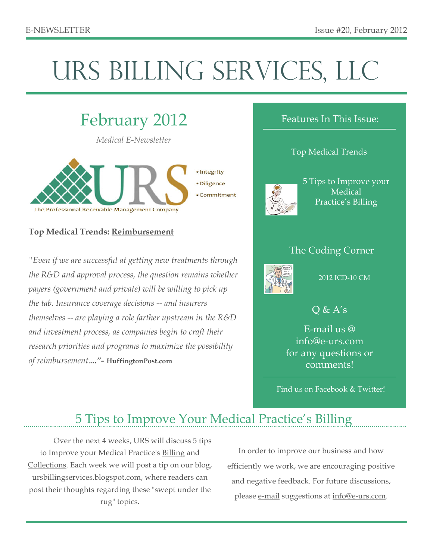# URS BILLING SERVICES, LLC



# **Top Medical Trends: Reimbursement**

*"Even if we are successful at getting new treatments through the R&D and approval process, the question remains whether payers (government and private) will be willing to pick up the tab. Insurance coverage decisions -- and insurers themselves -- are playing a role farther upstream in the R&D and investment process, as companies begin to craft their research priorities and programs to maximize the possibility of reimbursement...."-* **HuffingtonPost.com**

## Features In This Issue:

## Top Medical Trends



5 Tips to Improve your Medical Practice's Billing

# The Coding Corner



### 2012 ICD-10 CM

# $Q & A's$

E-mail us @ info@e-urs.com for any questions or comments!

Find us on Facebook & Twitter!

# 5 Tips to Improve Your Medical Practice's Billing

Over the next 4 weeks, URS will discuss 5 tips to Improve your Medical Practice's Billing and Collections. Each week we will post a tip on our blog, ursbillingservices.blogspot.com, where readers can post their thoughts regarding these "swept under the rug" topics.

In order to improve our business and how efficiently we work, we are encouraging positive and negative feedback. For future discussions, please e-mail suggestions at info@e-urs.com.